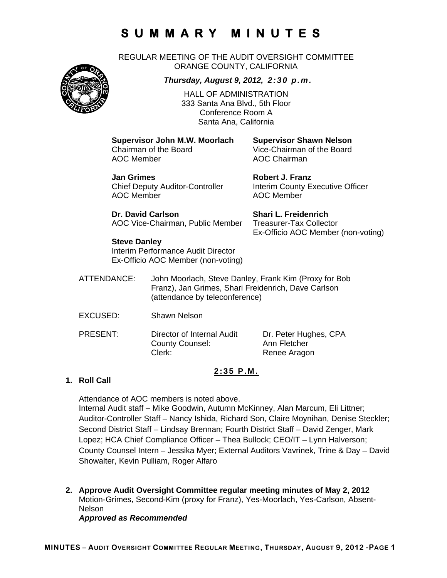REGULAR MEETING OF THE AUDIT OVERSIGHT COMMITTEE ORANGE COUNTY, CALIFORNIA



*Thursday, August 9, 2012, 2:30 p.m.*

HALL OF ADMINISTRATION 333 Santa Ana Blvd., 5th Floor Conference Room A Santa Ana, California

**Supervisor John M.W. Moorlach Supervisor Shawn Nelson**  AOC Member AOC Chairman

Vice-Chairman of the Board

**Jan Grimes Community Community Robert J. Franz** AOC Member AOC Member

Chief Deputy Auditor-Controller Interim County Executive Officer

Ex-Officio AOC Member (non-voting)

**Dr. David Carlson Shari L. Freidenrich** AOC Vice-Chairman, Public Member Treasurer-Tax Collector

**Steve Danley** 

Interim Performance Audit Director Ex-Officio AOC Member (non-voting)

- ATTENDANCE: John Moorlach, Steve Danley, Frank Kim (Proxy for Bob Franz), Jan Grimes, Shari Freidenrich, Dave Carlson (attendance by teleconference)
- EXCUSED: Shawn Nelson
- PRESENT: Director of Internal Audit Dr. Peter Hughes, CPA County Counsel: Ann Fletcher Clerk: Renee Aragon

### **2:35 P.M.**

### **1. Roll Call**

Attendance of AOC members is noted above. Internal Audit staff – Mike Goodwin, Autumn McKinney, Alan Marcum, Eli Littner; Auditor-Controller Staff – Nancy Ishida, Richard Son, Claire Moynihan, Denise Steckler; Second District Staff – Lindsay Brennan; Fourth District Staff – David Zenger, Mark Lopez; HCA Chief Compliance Officer – Thea Bullock; CEO/IT – Lynn Halverson; County Counsel Intern – Jessika Myer; External Auditors Vavrinek, Trine & Day – David Showalter, Kevin Pulliam, Roger Alfaro

**2. Approve Audit Oversight Committee regular meeting minutes of May 2, 2012**  Motion-Grimes, Second-Kim (proxy for Franz), Yes-Moorlach, Yes-Carlson, Absent-Nelson

*Approved as Recommended*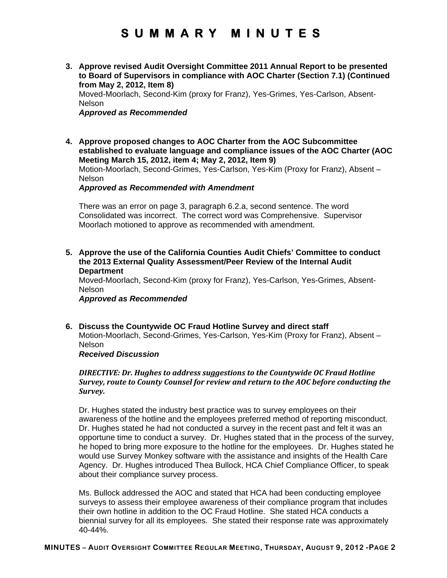**3. Approve revised Audit Oversight Committee 2011 Annual Report to be presented to Board of Supervisors in compliance with AOC Charter (Section 7.1) (Continued from May 2, 2012, Item 8)** 

Moved-Moorlach, Second-Kim (proxy for Franz), Yes-Grimes, Yes-Carlson, Absent-**Nelson** 

### *Approved as Recommended*

**4. Approve proposed changes to AOC Charter from the AOC Subcommittee established to evaluate language and compliance issues of the AOC Charter (AOC Meeting March 15, 2012, item 4; May 2, 2012, Item 9)**  Motion-Moorlach, Second-Grimes, Yes-Carlson, Yes-Kim (Proxy for Franz), Absent –

Nelson

*Approved as Recommended with Amendment* 

There was an error on page 3, paragraph 6.2.a, second sentence. The word Consolidated was incorrect. The correct word was Comprehensive. Supervisor Moorlach motioned to approve as recommended with amendment.

**5. Approve the use of the California Counties Audit Chiefs' Committee to conduct the 2013 External Quality Assessment/Peer Review of the Internal Audit Department** 

Moved-Moorlach, Second-Kim (proxy for Franz), Yes-Carlson, Yes-Grimes, Absent-Nelson

### *Approved as Recommended*

**6. Discuss the Countywide OC Fraud Hotline Survey and direct staff**  Motion-Moorlach, Second-Grimes, Yes-Carlson, Yes-Kim (Proxy for Franz), Absent – Nelson

*Received Discussion* 

### *DIRECTIVE: Dr. Hughes to address suggestions to the Countywide OC Fraud Hotline Survey, route to County Counsel for review and return to the AOC before conducting the Survey.*

Dr. Hughes stated the industry best practice was to survey employees on their awareness of the hotline and the employees preferred method of reporting misconduct. Dr. Hughes stated he had not conducted a survey in the recent past and felt it was an opportune time to conduct a survey. Dr. Hughes stated that in the process of the survey, he hoped to bring more exposure to the hotline for the employees. Dr. Hughes stated he would use Survey Monkey software with the assistance and insights of the Health Care Agency. Dr. Hughes introduced Thea Bullock, HCA Chief Compliance Officer, to speak about their compliance survey process.

Ms. Bullock addressed the AOC and stated that HCA had been conducting employee surveys to assess their employee awareness of their compliance program that includes their own hotline in addition to the OC Fraud Hotline. She stated HCA conducts a biennial survey for all its employees. She stated their response rate was approximately 40-44%.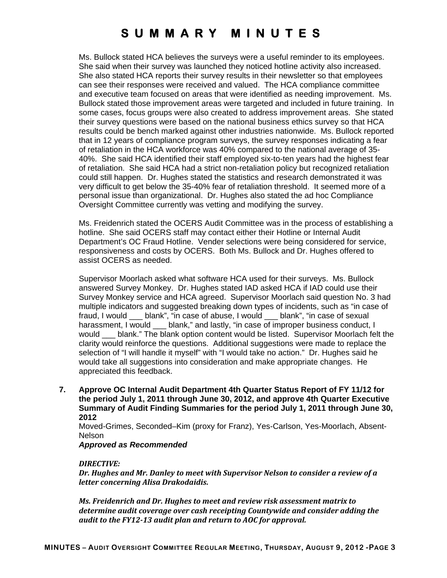Ms. Bullock stated HCA believes the surveys were a useful reminder to its employees. She said when their survey was launched they noticed hotline activity also increased. She also stated HCA reports their survey results in their newsletter so that employees can see their responses were received and valued. The HCA compliance committee and executive team focused on areas that were identified as needing improvement. Ms. Bullock stated those improvement areas were targeted and included in future training. In some cases, focus groups were also created to address improvement areas. She stated their survey questions were based on the national business ethics survey so that HCA results could be bench marked against other industries nationwide. Ms. Bullock reported that in 12 years of compliance program surveys, the survey responses indicating a fear of retaliation in the HCA workforce was 40% compared to the national average of 35- 40%. She said HCA identified their staff employed six-to-ten years had the highest fear of retaliation. She said HCA had a strict non-retaliation policy but recognized retaliation could still happen. Dr. Hughes stated the statistics and research demonstrated it was very difficult to get below the 35-40% fear of retaliation threshold. It seemed more of a personal issue than organizational. Dr. Hughes also stated the ad hoc Compliance Oversight Committee currently was vetting and modifying the survey.

Ms. Freidenrich stated the OCERS Audit Committee was in the process of establishing a hotline. She said OCERS staff may contact either their Hotline or Internal Audit Department's OC Fraud Hotline. Vender selections were being considered for service, responsiveness and costs by OCERS. Both Ms. Bullock and Dr. Hughes offered to assist OCERS as needed.

Supervisor Moorlach asked what software HCA used for their surveys. Ms. Bullock answered Survey Monkey. Dr. Hughes stated IAD asked HCA if IAD could use their Survey Monkey service and HCA agreed. Supervisor Moorlach said question No. 3 had multiple indicators and suggested breaking down types of incidents, such as "in case of fraud, I would \_\_\_ blank", "in case of abuse, I would \_\_\_ blank", "in case of sexual harassment, I would \_\_\_ blank," and lastly, "in case of improper business conduct, I would blank." The blank option content would be listed. Supervisor Moorlach felt the clarity would reinforce the questions. Additional suggestions were made to replace the selection of "I will handle it myself" with "I would take no action." Dr. Hughes said he would take all suggestions into consideration and make appropriate changes. He appreciated this feedback.

**7. Approve OC Internal Audit Department 4th Quarter Status Report of FY 11/12 for the period July 1, 2011 through June 30, 2012, and approve 4th Quarter Executive Summary of Audit Finding Summaries for the period July 1, 2011 through June 30, 2012** 

Moved-Grimes, Seconded–Kim (proxy for Franz), Yes-Carlson, Yes-Moorlach, Absent-Nelson

### *Approved as Recommended*

#### *DIRECTIVE:*

*Dr. Hughes and Mr. Danley to meet with Supervisor Nelson to consider a review of a letter concerning Alisa Drakodaidis.* 

*Ms. Freidenrich and Dr. Hughes to meet and review risk assessment matrix to determine audit coverage over cash receipting Countywide and consider adding the audit to the FY12‐13 audit plan and return to AOC for approval.*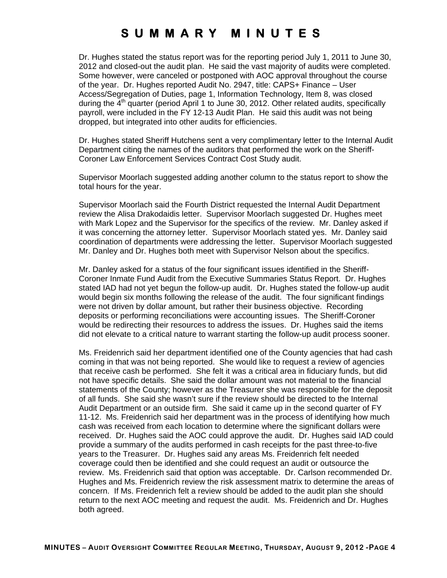Dr. Hughes stated the status report was for the reporting period July 1, 2011 to June 30, 2012 and closed-out the audit plan. He said the vast majority of audits were completed. Some however, were canceled or postponed with AOC approval throughout the course of the year. Dr. Hughes reported Audit No. 2947, title: CAPS+ Finance – User Access/Segregation of Duties, page 1, Information Technology, Item 8, was closed during the  $4<sup>th</sup>$  quarter (period April 1 to June 30, 2012. Other related audits, specifically payroll, were included in the FY 12-13 Audit Plan. He said this audit was not being dropped, but integrated into other audits for efficiencies.

Dr. Hughes stated Sheriff Hutchens sent a very complimentary letter to the Internal Audit Department citing the names of the auditors that performed the work on the Sheriff-Coroner Law Enforcement Services Contract Cost Study audit.

Supervisor Moorlach suggested adding another column to the status report to show the total hours for the year.

Supervisor Moorlach said the Fourth District requested the Internal Audit Department review the Alisa Drakodaidis letter. Supervisor Moorlach suggested Dr. Hughes meet with Mark Lopez and the Supervisor for the specifics of the review. Mr. Danley asked if it was concerning the attorney letter. Supervisor Moorlach stated yes. Mr. Danley said coordination of departments were addressing the letter. Supervisor Moorlach suggested Mr. Danley and Dr. Hughes both meet with Supervisor Nelson about the specifics.

Mr. Danley asked for a status of the four significant issues identified in the Sheriff-Coroner Inmate Fund Audit from the Executive Summaries Status Report. Dr. Hughes stated IAD had not yet begun the follow-up audit. Dr. Hughes stated the follow-up audit would begin six months following the release of the audit. The four significant findings were not driven by dollar amount, but rather their business objective. Recording deposits or performing reconciliations were accounting issues. The Sheriff-Coroner would be redirecting their resources to address the issues. Dr. Hughes said the items did not elevate to a critical nature to warrant starting the follow-up audit process sooner.

Ms. Freidenrich said her department identified one of the County agencies that had cash coming in that was not being reported. She would like to request a review of agencies that receive cash be performed. She felt it was a critical area in fiduciary funds, but did not have specific details. She said the dollar amount was not material to the financial statements of the County; however as the Treasurer she was responsible for the deposit of all funds. She said she wasn't sure if the review should be directed to the Internal Audit Department or an outside firm. She said it came up in the second quarter of FY 11-12. Ms. Freidenrich said her department was in the process of identifying how much cash was received from each location to determine where the significant dollars were received. Dr. Hughes said the AOC could approve the audit. Dr. Hughes said IAD could provide a summary of the audits performed in cash receipts for the past three-to-five years to the Treasurer. Dr. Hughes said any areas Ms. Freidenrich felt needed coverage could then be identified and she could request an audit or outsource the review. Ms. Freidenrich said that option was acceptable. Dr. Carlson recommended Dr. Hughes and Ms. Freidenrich review the risk assessment matrix to determine the areas of concern. If Ms. Freidenrich felt a review should be added to the audit plan she should return to the next AOC meeting and request the audit. Ms. Freidenrich and Dr. Hughes both agreed.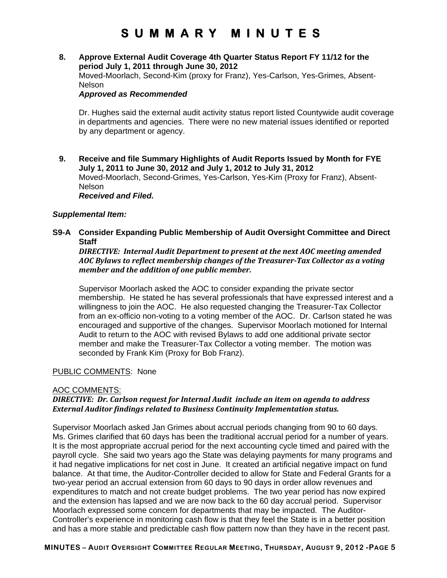### **8. Approve External Audit Coverage 4th Quarter Status Report FY 11/12 for the period July 1, 2011 through June 30, 2012**  Moved-Moorlach, Second-Kim (proxy for Franz), Yes-Carlson, Yes-Grimes, Absent-

#### Nelson

### *Approved as Recommended*

Dr. Hughes said the external audit activity status report listed Countywide audit coverage in departments and agencies. There were no new material issues identified or reported by any department or agency.

**9. Receive and file Summary Highlights of Audit Reports Issued by Month for FYE July 1, 2011 to June 30, 2012 and July 1, 2012 to July 31, 2012**  Moved-Moorlach, Second-Grimes, Yes-Carlson, Yes-Kim (Proxy for Franz), Absent-Nelson *Received and Filed.* 

### *Supplemental Item:*

**S9-A Consider Expanding Public Membership of Audit Oversight Committee and Direct Staff** 

*DIRECTIVE: Internal Audit Department to present at the next AOC meeting amended AOC Bylaws to reflect membership changes of the Treasurer‐Tax Collector as a voting member and the addition of one public member.*

Supervisor Moorlach asked the AOC to consider expanding the private sector membership. He stated he has several professionals that have expressed interest and a willingness to join the AOC. He also requested changing the Treasurer-Tax Collector from an ex-officio non-voting to a voting member of the AOC. Dr. Carlson stated he was encouraged and supportive of the changes. Supervisor Moorlach motioned for Internal Audit to return to the AOC with revised Bylaws to add one additional private sector member and make the Treasurer-Tax Collector a voting member. The motion was seconded by Frank Kim (Proxy for Bob Franz).

#### PUBLIC COMMENTS: None

#### AOC COMMENTS:

### *DIRECTIVE: Dr. Carlson request for Internal Audit include an item on agenda to address External Auditor findings related to Business Continuity Implementation status.*

Supervisor Moorlach asked Jan Grimes about accrual periods changing from 90 to 60 days. Ms. Grimes clarified that 60 days has been the traditional accrual period for a number of years. It is the most appropriate accrual period for the next accounting cycle timed and paired with the payroll cycle. She said two years ago the State was delaying payments for many programs and it had negative implications for net cost in June. It created an artificial negative impact on fund balance. At that time, the Auditor-Controller decided to allow for State and Federal Grants for a two-year period an accrual extension from 60 days to 90 days in order allow revenues and expenditures to match and not create budget problems. The two year period has now expired and the extension has lapsed and we are now back to the 60 day accrual period. Supervisor Moorlach expressed some concern for departments that may be impacted. The Auditor-Controller's experience in monitoring cash flow is that they feel the State is in a better position and has a more stable and predictable cash flow pattern now than they have in the recent past.